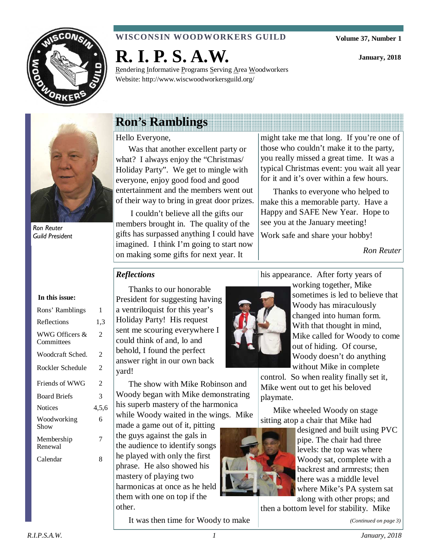

### **WISCONSIN WOODWORKERS GUILD**

Rendering Informative Programs Serving Area Woodworkers

**Volume 37, Number 1** 

**January, 2018** 



Ron Reuter Guild President

# **Ron's Ramblings**

**R. I. P. S. A.W.** 

Website: http://www.wiscwoodworkersguild.org/

Hello Everyone,

Was that another excellent party or what? I always enjoy the "Christmas/ Holiday Party". We get to mingle with everyone, enjoy good food and good entertainment and the members went out of their way to bring in great door prizes.

 I couldn't believe all the gifts our members brought in. The quality of the gifts has surpassed anything I could have imagined. I think I'm going to start now on making some gifts for next year. It

might take me that long. If you're one of those who couldn't make it to the party, you really missed a great time. It was a typical Christmas event: you wait all year for it and it's over within a few hours.

Thanks to everyone who helped to make this a memorable party. Have a Happy and SAFE New Year. Hope to see you at the January meeting!

Work safe and share your hobby!

*Ron Reuter*

## *Reflections*

Thanks to our honorable President for suggesting having a ventriloquist for this year's Holiday Party! His request sent me scouring everywhere I could think of and, lo and behold, I found the perfect answer right in our own back yard!

The show with Mike Robinson and Woody began with Mike demonstrating his superb mastery of the harmonica while Woody waited in the wings. Mike

made a game out of it, pitting the guys against the gals in the audience to identify songs he played with only the first phrase. He also showed his mastery of playing two harmonicas at once as he held them with one on top if the other.

It was then time for Woody to make

his appearance. After forty years of



working together, Mike sometimes is led to believe that Woody has miraculously changed into human form. With that thought in mind, Mike called for Woody to come out of hiding. Of course, Woody doesn't do anything without Mike in complete

control. So when reality finally set it, Mike went out to get his beloved playmate.

Mike wheeled Woody on stage sitting atop a chair that Mike had



then a bottom level for stability. Mike

*(Continued on page 3)* 

## **In this issue:**

| Rons' Ramblings              | 1     |
|------------------------------|-------|
| Reflections                  | 1,3   |
| WWG Officers &<br>Committees | 2     |
| Woodcraft Sched.             | 2     |
| Rockler Schedule             | 2     |
| Friends of WWG               | 2     |
| <b>Board Briefs</b>          | 3     |
| <b>Notices</b>               | 4,5,6 |
| Woodworking<br>Show          | 6     |
| Membership<br>Renewal        | 7     |
| Calendar                     | 8     |
|                              |       |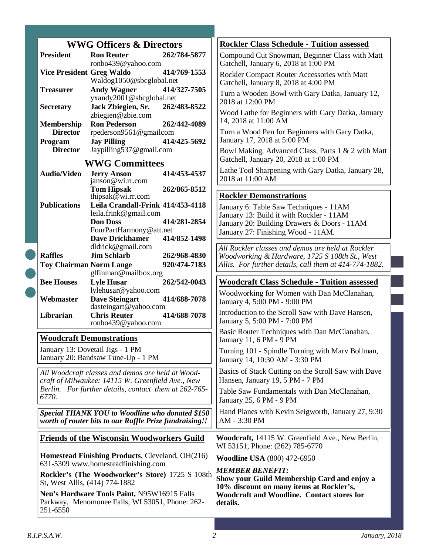|                                                  | <b>WWG Officers &amp; Directors</b>                                                                                                                                | <b>Rockler Class Schedule - Tuition assessed</b>                                                                                                                        |
|--------------------------------------------------|--------------------------------------------------------------------------------------------------------------------------------------------------------------------|-------------------------------------------------------------------------------------------------------------------------------------------------------------------------|
| <b>President</b>                                 | <b>Ron Reuter</b><br>262/784-5877<br>ronbo439@yahoo.com                                                                                                            | Compound Cut Snowman, Beginner Class with Matt<br>Gatchell, January 6, 2018 at 1:00 PM                                                                                  |
| <b>Vice President Greg Waldo</b>                 | 414/769-1553<br>Waldog1050@sbcglobal.net                                                                                                                           | Rockler Compact Router Accessories with Matt<br>Gatchell, January 8, 2018 at 4:00 PM                                                                                    |
| <b>Treasurer</b>                                 | <b>Andy Wagner</b><br>414/327-7505<br>yxandy2001@sbcglobal.net                                                                                                     | Turn a Wooden Bowl with Gary Datka, January 12,                                                                                                                         |
| <b>Secretary</b>                                 | Jack Zbiegien, Sr.<br>262/483-8522<br>zbiegien@zbie.com                                                                                                            | 2018 at 12:00 PM<br>Wood Lathe for Beginners with Gary Datka, January                                                                                                   |
| <b>Membership</b><br><b>Director</b>             | <b>Ron Pederson</b><br>262/442-4089<br>rpederson9561@gmailcom                                                                                                      | 14, 2018 at 11:00 AM<br>Turn a Wood Pen for Beginners with Gary Datka,                                                                                                  |
| Program<br><b>Director</b>                       | <b>Jay Pilling</b><br>414/425-5692<br>Jaypilling537@gmail.com                                                                                                      | January 17, 2018 at 5:00 PM<br>Bowl Making, Advanced Class, Parts 1 & 2 with Matt                                                                                       |
|                                                  | <b>WWG Committees</b>                                                                                                                                              | Gatchell, January 20, 2018 at 1:00 PM                                                                                                                                   |
| <b>Audio/Video</b>                               | <b>Jerry Anson</b><br>414/453-4537<br>janson@wi.rr.com                                                                                                             | Lathe Tool Sharpening with Gary Datka, January 28,<br>2018 at 11:00 AM                                                                                                  |
|                                                  | <b>Tom Hipsak</b><br>262/865-8512<br>thipsak $@$ wi.rr.com                                                                                                         | <b>Rockler Demonstrations</b>                                                                                                                                           |
| <b>Publications</b>                              | Leila Crandall-Frink 414/453-4118<br>leila.frink@gmail.com<br><b>Don Doss</b><br>414/281-2854<br>FourPartHarmony@att.net<br><b>Dave Drickhamer</b><br>414/852-1498 | January 6: Table Saw Techniques - 11AM<br>January 13: Build it with Rockler - 11AM<br>January 20: Building Drawers & Doors - 11AM<br>January 27: Finishing Wood - 11AM. |
| <b>Raffles</b><br><b>Toy Chairman Norm Lange</b> | dldrick@gmail.com<br><b>Jim Schlarb</b><br>262/968-4830<br>920/474-7183<br>glfinman@mailbox.org                                                                    | All Rockler classes and demos are held at Rockler<br>Woodworking & Hardware, 1725 S 108th St., West<br>Allis. For further details, call them at 414-774-1882.           |
|                                                  |                                                                                                                                                                    |                                                                                                                                                                         |
| <b>Bee Houses</b>                                | <b>Lyle Husar</b><br>262/542-0043                                                                                                                                  | <b>Woodcraft Class Schedule - Tuition assessed</b>                                                                                                                      |
| Webmaster                                        | lylehusar@yahoo.com<br><b>Dave Steingart</b><br>414/688-7078                                                                                                       | Woodworking for Women with Dan McClanahan,<br>January 4, 5:00 PM - 9:00 PM                                                                                              |
| Librarian                                        | dasteingart@yahoo.com<br><b>Chris Reuter</b><br>414/688-7078                                                                                                       | Introduction to the Scroll Saw with Dave Hansen,                                                                                                                        |
|                                                  | ronbo439@yahoo.com<br><b>Woodcraft Demonstrations</b>                                                                                                              | January 5, 5:00 PM - 7:00 PM<br>Basic Router Techniques with Dan McClanahan,                                                                                            |
|                                                  | January 13: Dovetail Jigs - 1 PM<br>January 20: Bandsaw Tune-Up - 1 PM                                                                                             | January 11, 6 PM - 9 PM<br>Turning 101 - Spindle Turning with Marv Bollman,<br>January 14, 10:30 AM - 3:30 PM                                                           |
|                                                  | All Woodcraft classes and demos are held at Wood-                                                                                                                  | Basics of Stack Cutting on the Scroll Saw with Dave                                                                                                                     |
| 6770.                                            | craft of Milwaukee: 14115 W. Greenfield Ave., New<br>Berlin. For further details, contact them at 262-765-                                                         | Hansen, January 19, 5 PM - 7 PM<br>Table Saw Fundamentals with Dan McClanahan,                                                                                          |
|                                                  | Special THANK YOU to Woodline who donated \$150<br>worth of router bits to our Raffle Prize fundraising!!                                                          | January 25, 6 PM - 9 PM<br>Hand Planes with Kevin Seigworth, January 27, 9:30<br>AM - 3:30 PM                                                                           |
|                                                  | <b>Friends of the Wisconsin Woodworkers Guild</b>                                                                                                                  | Woodcraft, 14115 W. Greenfield Ave., New Berlin,<br>WI 53151, Phone: (262) 785-6770                                                                                     |
|                                                  | Homestead Finishing Products, Cleveland, OH(216)                                                                                                                   | <b>Woodline USA</b> (800) 472-6950                                                                                                                                      |
| St, West Allis, (414) 774-1882                   | 631-5309 www.homesteadfinishing.com<br>Rockler's (The Woodworker's Store) 1725 S 108th                                                                             | <b>MEMBER BENEFIT:</b><br>Show your Guild Membership Card and enjoy a<br>10% discount on many items at Rockler's,                                                       |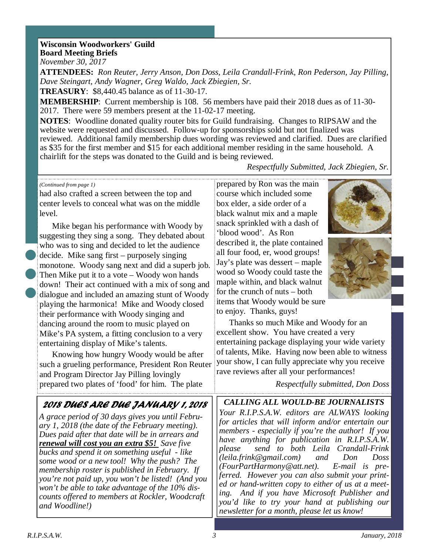## **Wisconsin Woodworkers' Guild Board Meeting Briefs**

*November 30, 2017* 

**ATTENDEES:** *Ron Reuter, Jerry Anson, Don Doss, Leila Crandall-Frink, Ron Pederson, Jay Pilling, Dave Steingart, Andy Wagner, Greg Waldo, Jack Zbiegien, Sr.*

**TREASURY**: \$8,440.45 balance as of 11-30-17.

**MEMBERSHIP**: Current membership is 108. 56 members have paid their 2018 dues as of 11-30- 2017. There were 59 members present at the 11-02-17 meeting.

**NOTES**: Woodline donated quality router bits for Guild fundraising. Changes to RIPSAW and the website were requested and discussed. Follow-up for sponsorships sold but not finalized was reviewed. Additional family membership dues wording was reviewed and clarified. Dues are clarified as \$35 for the first member and \$15 for each additional member residing in the same household. A chairlift for the steps was donated to the Guild and is being reviewed.

*Respectfully Submitted, Jack Zbiegien, Sr.*

#### *(Continued from page 1)*

had also crafted a screen between the top and center levels to conceal what was on the middle level.

Mike began his performance with Woody by suggesting they sing a song. They debated about who was to sing and decided to let the audience decide. Mike sang first – purposely singing monotone. Woody sang next and did a superb job. Then Mike put it to a vote – Woody won hands down! Their act continued with a mix of song and dialogue and included an amazing stunt of Woody playing the harmonica! Mike and Woody closed their performance with Woody singing and dancing around the room to music played on Mike's PA system, a fitting conclusion to a very entertaining display of Mike's talents.

Knowing how hungry Woody would be after such a grueling performance, President Ron Reuter and Program Director Jay Pilling lovingly prepared two plates of 'food' for him. The plate

prepared by Ron was the main course which included some box elder, a side order of a black walnut mix and a maple snack sprinkled with a dash of 'blood wood'. As Ron described it, the plate contained all four food, er, wood groups! Jay's plate was dessert – maple wood so Woody could taste the maple within, and black walnut for the crunch of nuts – both items that Woody would be sure to enjoy. Thanks, guys!





Thanks so much Mike and Woody for an excellent show. You have created a very entertaining package displaying your wide variety of talents, Mike. Having now been able to witness your show, I can fully appreciate why you receive rave reviews after all your performances!

*Respectfully submitted, Don Doss*

*CALLING ALL WOULD-BE JOURNALISTS Your R.I.P.S.A.W. editors are ALWAYS looking for articles that will inform and/or entertain our members - especially if you're the author! If you have anything for publication in R.I.P.S.A.W. please send to both Leila Crandall-Frink (leila.frink@gmail.com) and Don Doss (FourPartHarmony@att.net). E-mail is preferred. However you can also submit your printed or hand-written copy to either of us at a meeting. And if you have Microsoft Publisher and you'd like to try your hand at publishing our newsletter for a month, please let us know!* 

## 2018 DUES ARE DUE JANUARY 1, 2018

*A grace period of 30 days gives you until February 1, 2018 (the date of the February meeting). Dues paid after that date will be in arrears and renewal will cost you an extra \$5! Save five bucks and spend it on something useful - like some wood or a new tool! Why the push? The membership roster is published in February. If you're not paid up, you won't be listed! (And you won't be able to take advantage of the 10% discounts offered to members at Rockler, Woodcraft and Woodline!)*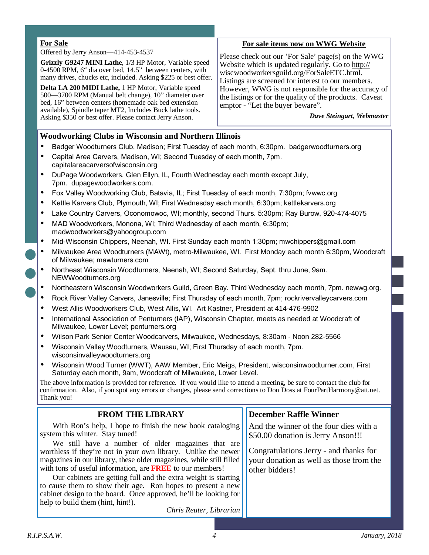#### **For Sale**

#### Offered by Jerry Anson—414-453-4537

**Grizzly G9247 MINI Lathe**, 1/3 HP Motor, Variable speed 0-4500 RPM, 6" dia over bed, 14.5" between centers, with many drives, chucks etc, included. Asking \$225 or best offer.

**Delta LA 200 MIDI Lathe,** 1 HP Motor, Variable speed 500—3700 RPM (Manual belt change), 10" diameter over bed, 16" between centers (homemade oak bed extension available), Spindle taper MT2, Includes Buck lathe tools. Asking \$350 or best offer. Please contact Jerry Anson.

#### **For sale items now on WWG Website**

Please check out our 'For Sale' page(s) on the WWG Website which is updated regularly. Go to http:// wiscwoodworkersguild.org/ForSaleETC.html. Listings are screened for interest to our members. However, WWG is not responsible for the accuracy of the listings or for the quality of the products. Caveat emptor - "Let the buyer beware".

*Dave Steingart, Webmaster* 

#### **Woodworking Clubs in Wisconsin and Northern Illinois**

- Badger Woodturners Club, Madison; First Tuesday of each month, 6:30pm. badgerwoodturners.org
- Capital Area Carvers, Madison, WI; Second Tuesday of each month, 7pm. capitalareacarversofwisconsin.org
- DuPage Woodworkers, Glen Ellyn, IL, Fourth Wednesday each month except July, 7pm. dupagewoodworkers.com.
- Fox Valley Woodworking Club, Batavia, IL; First Tuesday of each month, 7:30pm; fvwwc.org
- Kettle Karvers Club, Plymouth, WI; First Wednesday each month, 6:30pm; kettlekarvers.org
- Lake Country Carvers, Oconomowoc, WI; monthly, second Thurs. 5:30pm; Ray Burow, 920-474-4075
- MAD Woodworkers, Monona, WI; Third Wednesday of each month, 6:30pm; madwoodworkers@yahoogroup.com
- Mid-Wisconsin Chippers, Neenah, WI. First Sunday each month 1:30pm; mwchippers@gmail.com
- Milwaukee Area Woodturners (MAWt), metro-Milwaukee, WI. First Monday each month 6:30pm, Woodcraft of Milwaukee; mawturners.com
- Northeast Wisconsin Woodturners, Neenah, WI; Second Saturday, Sept. thru June, 9am. NEWWoodturners.org
- Northeastern Wisconsin Woodworkers Guild, Green Bay. Third Wednesday each month, 7pm. newwg.org.
- Rock River Valley Carvers, Janesville; First Thursday of each month, 7pm; rockrivervalleycarvers.com
- West Allis Woodworkers Club, West Allis, WI. Art Kastner, President at 414-476-9902
- International Association of Penturners (IAP), Wisconsin Chapter, meets as needed at Woodcraft of Milwaukee, Lower Level; penturners.org
- Wilson Park Senior Center Woodcarvers, Milwaukee, Wednesdays, 8:30am Noon 282-5566
- Wisconsin Valley Woodturners, Wausau, WI; First Thursday of each month, 7pm. wisconsinvalleywoodturners.org
- Wisconsin Wood Turner (WWT), AAW Member, Eric Meigs, President, wisconsinwoodturner.com, First Saturday each month, 9am, Woodcraft of Milwaukee, Lower Level.

The above information is provided for reference. If you would like to attend a meeting, be sure to contact the club for confirmation. Also, if you spot any errors or changes, please send corrections to Don Doss at FourPartHarmony@att.net. Thank you!

| <b>FROM THE LIBRARY</b>                                             | <b>December Raffle Winner</b>           |
|---------------------------------------------------------------------|-----------------------------------------|
| With Ron's help, I hope to finish the new book cataloging           | And the winner of the four dies with a  |
| system this winter. Stay tuned!                                     | \$50.00 donation is Jerry Anson!!!      |
| We still have a number of older magazines that are                  |                                         |
| worthless if they're not in your own library. Unlike the newer      | Congratulations Jerry - and thanks for  |
| magazines in our library, these older magazines, while still filled | your donation as well as those from the |
| with tons of useful information, are <b>FREE</b> to our members!    | other bidders!                          |
| Our cabinets are getting full and the extra weight is starting      |                                         |
| to cause them to show their age. Ron hopes to present a new         |                                         |
| cabinet design to the board. Once approved, he'll be looking for    |                                         |
| help to build them (hint, hint!).                                   |                                         |
| Chris Reuter, Librarian                                             |                                         |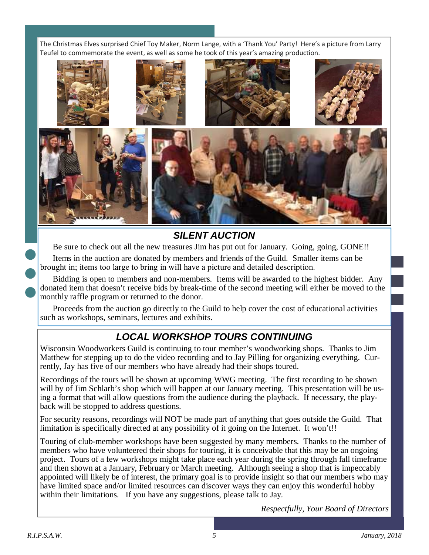The Christmas Elves surprised Chief Toy Maker, Norm Lange, with a 'Thank You' Party! Here's a picture from Larry Teufel to commemorate the event, as well as some he took of this year's amazing production.



## **SILENT AUCTION**

Be sure to check out all the new treasures Jim has put out for January. Going, going, GONE!!

Items in the auction are donated by members and friends of the Guild. Smaller items can be brought in; items too large to bring in will have a picture and detailed description.

Bidding is open to members and non-members. Items will be awarded to the highest bidder. Any donated item that doesn't receive bids by break-time of the second meeting will either be moved to the monthly raffle program or returned to the donor.

Proceeds from the auction go directly to the Guild to help cover the cost of educational activities such as workshops, seminars, lectures and exhibits.

## **LOCAL WORKSHOP TOURS CONTINUING**

Wisconsin Woodworkers Guild is continuing to tour member's woodworking shops. Thanks to Jim Matthew for stepping up to do the video recording and to Jay Pilling for organizing everything. Currently, Jay has five of our members who have already had their shops toured.

Recordings of the tours will be shown at upcoming WWG meeting. The first recording to be shown will by of Jim Schlarb's shop which will happen at our January meeting. This presentation will be using a format that will allow questions from the audience during the playback. If necessary, the playback will be stopped to address questions.

For security reasons, recordings will NOT be made part of anything that goes outside the Guild. That limitation is specifically directed at any possibility of it going on the Internet. It won't!!

Touring of club-member workshops have been suggested by many members. Thanks to the number of members who have volunteered their shops for touring, it is conceivable that this may be an ongoing project. Tours of a few workshops might take place each year during the spring through fall timeframe and then shown at a January, February or March meeting. Although seeing a shop that is impeccably appointed will likely be of interest, the primary goal is to provide insight so that our members who may have limited space and/or limited resources can discover ways they can enjoy this wonderful hobby within their limitations. If you have any suggestions, please talk to Jay.

*Respectfully, Your Board of Directors*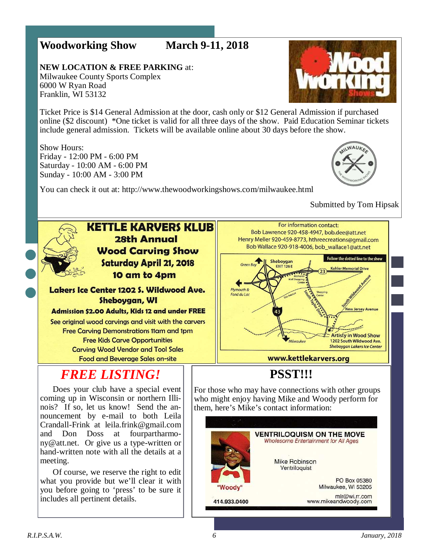## **Woodworking Show March 9-11, 2018**

**NEW LOCATION & FREE PARKING** at: Milwaukee County Sports Complex 6000 W Ryan Road Franklin, WI 53132

**Vvorr** 

Ticket Price is \$14 General Admission at the door, cash only or \$12 General Admission if purchased online (\$2 discount) \*One ticket is valid for all three days of the show. Paid Education Seminar tickets include general admission. Tickets will be available online about 30 days before the show.

Show Hours: Friday - 12:00 PM - 6:00 PM Saturday - 10:00 AM - 6:00 PM Sunday - 10:00 AM - 3:00 PM



You can check it out at: http://www.thewoodworkingshows.com/milwaukee.html

Submitted by Tom Hipsak



## **KETTLE KARVERS KLUB 28th Annual Wood Carving Show** Saturday April 21, 2018 10 am to 4pm

#### Lakers Ice Center 1202 S. Wildwood Ave. Sheboygan, WI

#### **Admission \$2.00 Adults, Kids 12 and under FREE**

See original wood carvings and visit with the carvers **Free Carving Demonstrations 11am and 1pm Free Kids Carve Opportunities Carving Wood Vendor and Tool Sales Food and Beverage Sales on-site** 

# *FREE LISTING!*

Does your club have a special event coming up in Wisconsin or northern Illinois? If so, let us know! Send the announcement by e-mail to both Leila Crandall-Frink at leila.frink@gmail.com and Don Doss at fourpartharmony@att.net. Or give us a type-written or hand-written note with all the details at a meeting.

Of course, we reserve the right to edit what you provide but we'll clear it with you before going to 'press' to be sure it includes all pertinent details.



## **PSST!!!**

For those who may have connections with other groups who might enjoy having Mike and Woody perform for them, here's Mike's contact information:

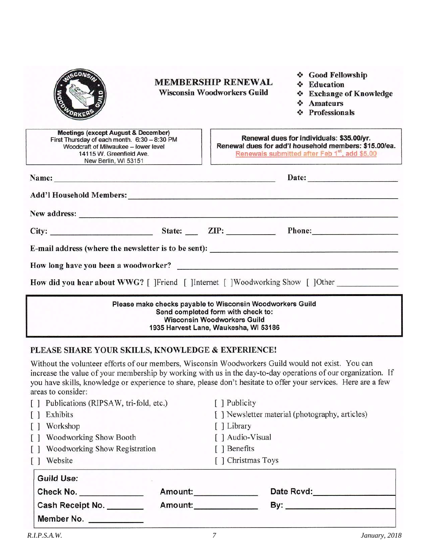|                                                                                                                                                                                            | <b>MEMBERSHIP RENEWAL</b><br><b>Wisconsin Woodworkers Guild</b> |                                                                                                                                                                               | ❖ Good Fellowship<br>❖ Education<br><b>Exchange of Knowledge</b><br>$\frac{1}{2}$<br><b>Amateurs</b><br>$\Phi_{\alpha}^{\Phi} \Phi$<br><b>Professionals</b><br>$\frac{1}{2}$                                                   |
|--------------------------------------------------------------------------------------------------------------------------------------------------------------------------------------------|-----------------------------------------------------------------|-------------------------------------------------------------------------------------------------------------------------------------------------------------------------------|--------------------------------------------------------------------------------------------------------------------------------------------------------------------------------------------------------------------------------|
| <b>Meetings (except August &amp; December)</b><br>First Thursday of each month. 6:30 - 8:30 PM<br>Woodcraft of Milwaukee - lower level<br>14115 W. Greenfield Ave.<br>New Berlin, WI 53151 |                                                                 |                                                                                                                                                                               | Renewal dues for individuals: \$35.00/yr.<br>Renewal dues for add'l household members: \$15.00/ea.<br>Renewals submitted after Feb 1 <sup>st</sup> , add \$5.00                                                                |
| Name: Name:                                                                                                                                                                                |                                                                 |                                                                                                                                                                               | Date:                                                                                                                                                                                                                          |
|                                                                                                                                                                                            |                                                                 |                                                                                                                                                                               |                                                                                                                                                                                                                                |
|                                                                                                                                                                                            |                                                                 |                                                                                                                                                                               | New address: New address: New address: New address: New address: New address: New address: New address: New Address: New Address: New Address: New Address: New Address: New Address: New Address: New Address: New Address: N |
|                                                                                                                                                                                            |                                                                 |                                                                                                                                                                               |                                                                                                                                                                                                                                |
|                                                                                                                                                                                            |                                                                 |                                                                                                                                                                               | E-mail address (where the newsletter is to be sent):                                                                                                                                                                           |
|                                                                                                                                                                                            |                                                                 |                                                                                                                                                                               |                                                                                                                                                                                                                                |
|                                                                                                                                                                                            |                                                                 |                                                                                                                                                                               | How did you hear about WWG? [ ]Friend [ ]Internet [ ]Woodworking Show [ ]Other                                                                                                                                                 |
|                                                                                                                                                                                            |                                                                 | Please make checks payable to Wisconsin Woodworkers Guild<br>Send completed form with check to:<br><b>Wisconsin Woodworkers Guild</b><br>1935 Harvest Lane, Waukesha, WL53186 |                                                                                                                                                                                                                                |

## PLEASE SHARE YOUR SKILLS, KNOWLEDGE & EXPERIENCE!

Without the volunteer efforts of our members, Wisconsin Woodworkers Guild would not exist. You can increase the value of your membership by working with us in the day-to-day operations of our organization. If you have skills, knowledge or experience to share, please don't hesitate to offer your services. Here are a few areas to consider:

|  | Publications (RIPSAW, tri-fold, etc.) |         | [ ] Publicity                   |                                                 |  |
|--|---------------------------------------|---------|---------------------------------|-------------------------------------------------|--|
|  | Exhibits                              |         |                                 | [ ] Newsletter material (photography, articles) |  |
|  | Workshop<br>Woodworking Show Booth    |         | [ ] Library<br>[ ] Audio-Visual |                                                 |  |
|  |                                       |         |                                 |                                                 |  |
|  | Woodworking Show Registration         |         | [ ] Benefits                    |                                                 |  |
|  | Website                               |         | [ ] Christmas Toys              |                                                 |  |
|  | <b>Guild Use:</b>                     |         |                                 |                                                 |  |
|  | Check No.                             | Amount: |                                 | Date Rcvd:                                      |  |
|  | Cash Receipt No.                      | Amount: |                                 | By:                                             |  |
|  | Member No.                            |         |                                 |                                                 |  |